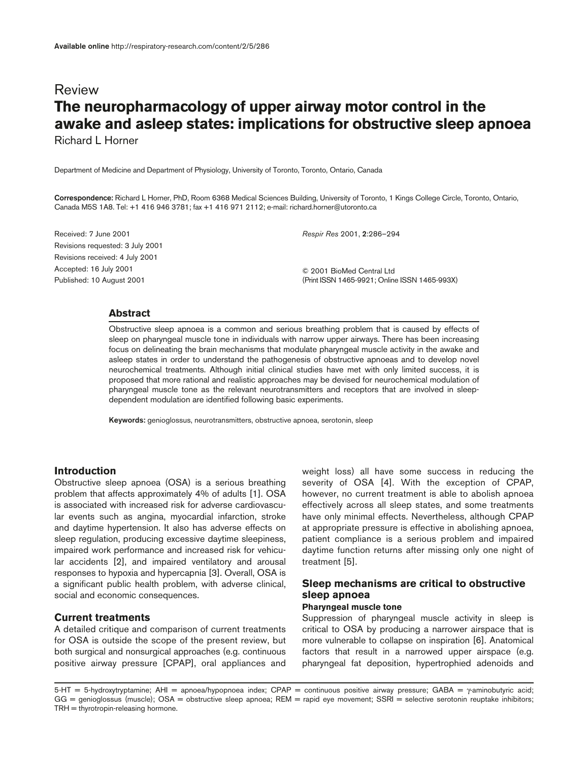# Review **The neuropharmacology of upper airway motor control in the awake and asleep states: implications for obstructive sleep apnoea**

Richard L Horner

Department of Medicine and Department of Physiology, University of Toronto, Toronto, Ontario, Canada

**Correspondence:** Richard L Horner, PhD, Room 6368 Medical Sciences Building, University of Toronto, 1 Kings College Circle, Toronto, Ontario, Canada M5S 1A8. Tel: +1 416 946 3781; fax +1 416 971 2112; e-mail: richard.horner@utoronto.ca

Received: 7 June 2001 Revisions requested: 3 July 2001 Revisions received: 4 July 2001 Accepted: 16 July 2001 Published: 10 August 2001

*Respir Res* 2001, **2**:286–294

© 2001 BioMed Central Ltd (Print ISSN 1465-9921; Online ISSN 1465-993X)

#### **Abstract**

Obstructive sleep apnoea is a common and serious breathing problem that is caused by effects of sleep on pharyngeal muscle tone in individuals with narrow upper airways. There has been increasing focus on delineating the brain mechanisms that modulate pharyngeal muscle activity in the awake and asleep states in order to understand the pathogenesis of obstructive apnoeas and to develop novel neurochemical treatments. Although initial clinical studies have met with only limited success, it is proposed that more rational and realistic approaches may be devised for neurochemical modulation of pharyngeal muscle tone as the relevant neurotransmitters and receptors that are involved in sleepdependent modulation are identified following basic experiments.

**Keywords:** genioglossus, neurotransmitters, obstructive apnoea, serotonin, sleep

#### **Introduction**

Obstructive sleep apnoea (OSA) is a serious breathing problem that affects approximately 4% of adults [1]. OSA is associated with increased risk for adverse cardiovascular events such as angina, myocardial infarction, stroke and daytime hypertension. It also has adverse effects on sleep regulation, producing excessive daytime sleepiness, impaired work performance and increased risk for vehicular accidents [2], and impaired ventilatory and arousal responses to hypoxia and hypercapnia [3]. Overall, OSA is a significant public health problem, with adverse clinical, social and economic consequences.

## **Current treatments**

A detailed critique and comparison of current treatments for OSA is outside the scope of the present review, but both surgical and nonsurgical approaches (e.g. continuous positive airway pressure [CPAP], oral appliances and weight loss) all have some success in reducing the severity of OSA [4]. With the exception of CPAP, however, no current treatment is able to abolish apnoea effectively across all sleep states, and some treatments have only minimal effects. Nevertheless, although CPAP at appropriate pressure is effective in abolishing apnoea, patient compliance is a serious problem and impaired daytime function returns after missing only one night of treatment [5].

## **Sleep mechanisms are critical to obstructive sleep apnoea**

#### **Pharyngeal muscle tone**

Suppression of pharyngeal muscle activity in sleep is critical to OSA by producing a narrower airspace that is more vulnerable to collapse on inspiration [6]. Anatomical factors that result in a narrowed upper airspace (e.g. pharyngeal fat deposition, hypertrophied adenoids and

5-HT = 5-hydroxytryptamine; AHI = apnoea/hypopnoea index; CPAP = continuous positive airway pressure; GABA = γ-aminobutyric acid; GG = genioglossus (muscle); OSA = obstructive sleep apnoea; REM = rapid eye movement; SSRI = selective serotonin reuptake inhibitors;  $TRH =$  thyrotropin-releasing hormone.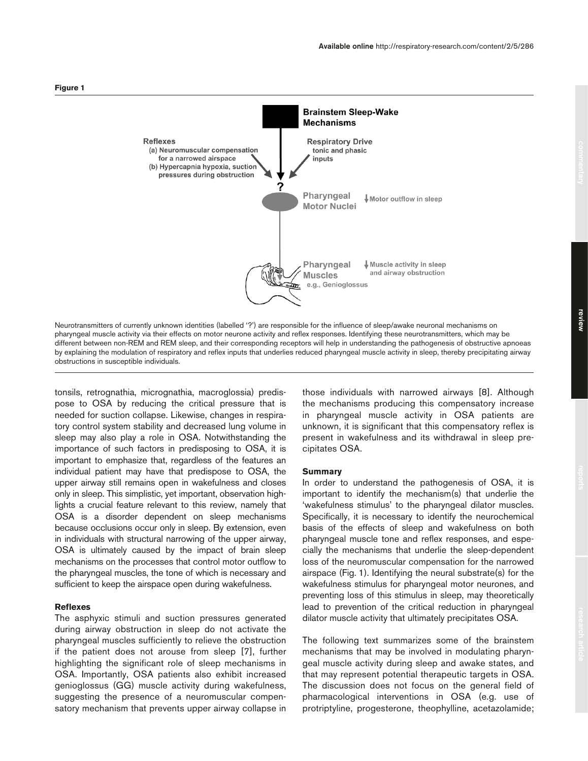





Neurotransmitters of currently unknown identities (labelled '?') are responsible for the influence of sleep/awake neuronal mechanisms on pharyngeal muscle activity via their effects on motor neurone activity and reflex responses. Identifying these neurotransmitters, which may be different between non-REM and REM sleep, and their corresponding receptors will help in understanding the pathogenesis of obstructive apnoeas by explaining the modulation of respiratory and reflex inputs that underlies reduced pharyngeal muscle activity in sleep, thereby precipitating airway obstructions in susceptible individuals.

tonsils, retrognathia, micrognathia, macroglossia) predispose to OSA by reducing the critical pressure that is needed for suction collapse. Likewise, changes in respiratory control system stability and decreased lung volume in sleep may also play a role in OSA. Notwithstanding the importance of such factors in predisposing to OSA, it is important to emphasize that, regardless of the features an individual patient may have that predispose to OSA, the upper airway still remains open in wakefulness and closes only in sleep. This simplistic, yet important, observation highlights a crucial feature relevant to this review, namely that OSA is a disorder dependent on sleep mechanisms because occlusions occur only in sleep. By extension, even in individuals with structural narrowing of the upper airway, OSA is ultimately caused by the impact of brain sleep mechanisms on the processes that control motor outflow to the pharyngeal muscles, the tone of which is necessary and sufficient to keep the airspace open during wakefulness.

#### **Reflexes**

The asphyxic stimuli and suction pressures generated during airway obstruction in sleep do not activate the pharyngeal muscles sufficiently to relieve the obstruction if the patient does not arouse from sleep [7], further highlighting the significant role of sleep mechanisms in OSA. Importantly, OSA patients also exhibit increased genioglossus (GG) muscle activity during wakefulness, suggesting the presence of a neuromuscular compensatory mechanism that prevents upper airway collapse in

those individuals with narrowed airways [8]. Although the mechanisms producing this compensatory increase in pharyngeal muscle activity in OSA patients are unknown, it is significant that this compensatory reflex is present in wakefulness and its withdrawal in sleep precipitates OSA.

#### **Summary**

In order to understand the pathogenesis of OSA, it is important to identify the mechanism(s) that underlie the 'wakefulness stimulus' to the pharyngeal dilator muscles. Specifically, it is necessary to identify the neurochemical basis of the effects of sleep and wakefulness on both pharyngeal muscle tone and reflex responses, and especially the mechanisms that underlie the sleep-dependent loss of the neuromuscular compensation for the narrowed airspace (Fig. 1). Identifying the neural substrate(s) for the wakefulness stimulus for pharyngeal motor neurones, and preventing loss of this stimulus in sleep, may theoretically lead to prevention of the critical reduction in pharyngeal dilator muscle activity that ultimately precipitates OSA.

The following text summarizes some of the brainstem mechanisms that may be involved in modulating pharyngeal muscle activity during sleep and awake states, and that may represent potential therapeutic targets in OSA. The discussion does not focus on the general field of pharmacological interventions in OSA (e.g. use of protriptyline, progesterone, theophylline, acetazolamide;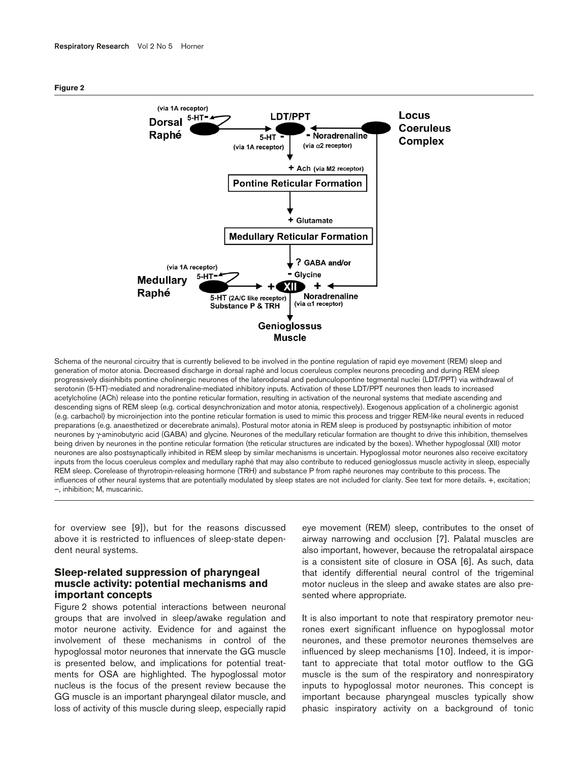



Schema of the neuronal circuitry that is currently believed to be involved in the pontine regulation of rapid eye movement (REM) sleep and generation of motor atonia. Decreased discharge in dorsal raphé and locus coeruleus complex neurons preceding and during REM sleep progressively disinhibits pontine cholinergic neurones of the laterodorsal and pedunculopontine tegmental nuclei (LDT/PPT) via withdrawal of serotonin (5-HT)-mediated and noradrenaline-mediated inhibitory inputs. Activation of these LDT/PPT neurones then leads to increased acetylcholine (ACh) release into the pontine reticular formation, resulting in activation of the neuronal systems that mediate ascending and descending signs of REM sleep (e.g. cortical desynchronization and motor atonia, respectively). Exogenous application of a cholinergic agonist (e.g. carbachol) by microinjection into the pontine reticular formation is used to mimic this process and trigger REM-like neural events in reduced preparations (e.g. anaesthetized or decerebrate animals). Postural motor atonia in REM sleep is produced by postsynaptic inhibition of motor neurones by γ-aminobutyric acid (GABA) and glycine. Neurones of the medullary reticular formation are thought to drive this inhibition, themselves being driven by neurones in the pontine reticular formation (the reticular structures are indicated by the boxes). Whether hypoglossal (XII) motor neurones are also postsynaptically inhibited in REM sleep by similar mechanisms is uncertain. Hypoglossal motor neurones also receive excitatory inputs from the locus coeruleus complex and medullary raphé that may also contribute to reduced genioglossus muscle activity in sleep, especially REM sleep. Corelease of thyrotropin-releasing hormone (TRH) and substance P from raphé neurones may contribute to this process. The influences of other neural systems that are potentially modulated by sleep states are not included for clarity. See text for more details. +, excitation; –, inhibition; M, muscarinic.

for overview see [9]), but for the reasons discussed above it is restricted to influences of sleep-state dependent neural systems.

## **Sleep-related suppression of pharyngeal muscle activity: potential mechanisms and important concepts**

Figure 2 shows potential interactions between neuronal groups that are involved in sleep/awake regulation and motor neurone activity. Evidence for and against the involvement of these mechanisms in control of the hypoglossal motor neurones that innervate the GG muscle is presented below, and implications for potential treatments for OSA are highlighted. The hypoglossal motor nucleus is the focus of the present review because the GG muscle is an important pharyngeal dilator muscle, and loss of activity of this muscle during sleep, especially rapid eye movement (REM) sleep, contributes to the onset of airway narrowing and occlusion [7]. Palatal muscles are also important, however, because the retropalatal airspace is a consistent site of closure in OSA [6]. As such, data that identify differential neural control of the trigeminal motor nucleus in the sleep and awake states are also presented where appropriate.

It is also important to note that respiratory premotor neurones exert significant influence on hypoglossal motor neurones, and these premotor neurones themselves are influenced by sleep mechanisms [10]. Indeed, it is important to appreciate that total motor outflow to the GG muscle is the sum of the respiratory and nonrespiratory inputs to hypoglossal motor neurones. This concept is important because pharyngeal muscles typically show phasic inspiratory activity on a background of tonic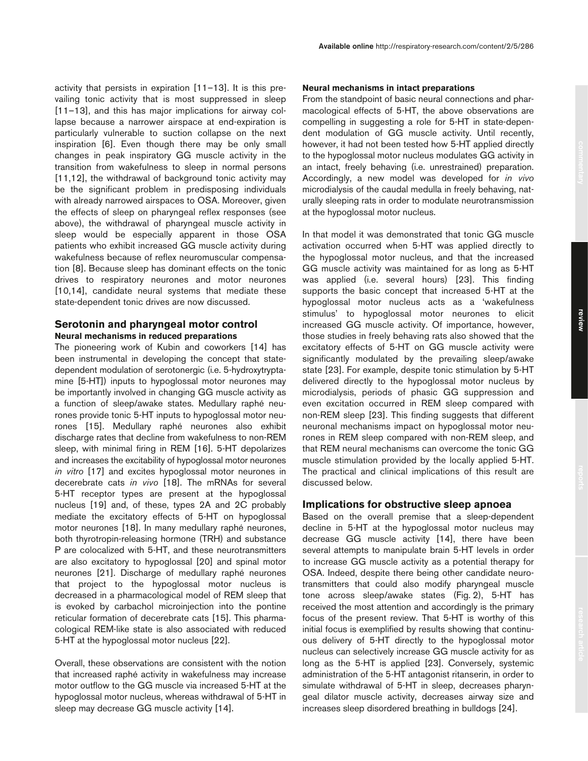activity that persists in expiration [11–13]. It is this prevailing tonic activity that is most suppressed in sleep [11–13], and this has major implications for airway collapse because a narrower airspace at end-expiration is particularly vulnerable to suction collapse on the next inspiration [6]. Even though there may be only small changes in peak inspiratory GG muscle activity in the transition from wakefulness to sleep in normal persons [11,12], the withdrawal of background tonic activity may be the significant problem in predisposing individuals with already narrowed airspaces to OSA. Moreover, given the effects of sleep on pharyngeal reflex responses (see above), the withdrawal of pharyngeal muscle activity in sleep would be especially apparent in those OSA patients who exhibit increased GG muscle activity during wakefulness because of reflex neuromuscular compensation [8]. Because sleep has dominant effects on the tonic drives to respiratory neurones and motor neurones [10,14], candidate neural systems that mediate these state-dependent tonic drives are now discussed.

## **Serotonin and pharyngeal motor control Neural mechanisms in reduced preparations**

The pioneering work of Kubin and coworkers [14] has been instrumental in developing the concept that statedependent modulation of serotonergic (i.e. 5-hydroxytryptamine [5-HT]) inputs to hypoglossal motor neurones may be importantly involved in changing GG muscle activity as a function of sleep/awake states. Medullary raphé neurones provide tonic 5-HT inputs to hypoglossal motor neurones [15]. Medullary raphé neurones also exhibit discharge rates that decline from wakefulness to non-REM sleep, with minimal firing in REM [16]. 5-HT depolarizes and increases the excitability of hypoglossal motor neurones *in vitro* [17] and excites hypoglossal motor neurones in decerebrate cats *in vivo* [18]. The mRNAs for several 5-HT receptor types are present at the hypoglossal nucleus [19] and, of these, types 2A and 2C probably mediate the excitatory effects of 5-HT on hypoglossal motor neurones [18]. In many medullary raphé neurones, both thyrotropin-releasing hormone (TRH) and substance P are colocalized with 5-HT, and these neurotransmitters are also excitatory to hypoglossal [20] and spinal motor neurones [21]. Discharge of medullary raphé neurones that project to the hypoglossal motor nucleus is decreased in a pharmacological model of REM sleep that is evoked by carbachol microinjection into the pontine reticular formation of decerebrate cats [15]. This pharmacological REM-like state is also associated with reduced 5-HT at the hypoglossal motor nucleus [22].

Overall, these observations are consistent with the notion that increased raphé activity in wakefulness may increase motor outflow to the GG muscle via increased 5-HT at the hypoglossal motor nucleus, whereas withdrawal of 5-HT in sleep may decrease GG muscle activity [14].

#### **Neural mechanisms in intact preparations**

From the standpoint of basic neural connections and pharmacological effects of 5-HT, the above observations are compelling in suggesting a role for 5-HT in state-dependent modulation of GG muscle activity. Until recently, however, it had not been tested how 5-HT applied directly to the hypoglossal motor nucleus modulates GG activity in an intact, freely behaving (i.e. unrestrained) preparation. Accordingly, a new model was developed for *in vivo* microdialysis of the caudal medulla in freely behaving, naturally sleeping rats in order to modulate neurotransmission at the hypoglossal motor nucleus.

In that model it was demonstrated that tonic GG muscle activation occurred when 5-HT was applied directly to the hypoglossal motor nucleus, and that the increased GG muscle activity was maintained for as long as 5-HT was applied (i.e. several hours) [23]. This finding supports the basic concept that increased 5-HT at the hypoglossal motor nucleus acts as a 'wakefulness stimulus' to hypoglossal motor neurones to elicit increased GG muscle activity. Of importance, however, those studies in freely behaving rats also showed that the excitatory effects of 5-HT on GG muscle activity were significantly modulated by the prevailing sleep/awake state [23]. For example, despite tonic stimulation by 5-HT delivered directly to the hypoglossal motor nucleus by microdialysis, periods of phasic GG suppression and even excitation occurred in REM sleep compared with non-REM sleep [23]. This finding suggests that different neuronal mechanisms impact on hypoglossal motor neurones in REM sleep compared with non-REM sleep, and that REM neural mechanisms can overcome the tonic GG muscle stimulation provided by the locally applied 5-HT. The practical and clinical implications of this result are discussed below.

#### **Implications for obstructive sleep apnoea**

Based on the overall premise that a sleep-dependent decline in 5-HT at the hypoglossal motor nucleus may decrease GG muscle activity [14], there have been several attempts to manipulate brain 5-HT levels in order to increase GG muscle activity as a potential therapy for OSA. Indeed, despite there being other candidate neurotransmitters that could also modify pharyngeal muscle tone across sleep/awake states (Fig. 2), 5-HT has received the most attention and accordingly is the primary focus of the present review. That 5-HT is worthy of this initial focus is exemplified by results showing that continuous delivery of 5-HT directly to the hypoglossal motor nucleus can selectively increase GG muscle activity for as long as the 5-HT is applied [23]. Conversely, systemic administration of the 5-HT antagonist ritanserin, in order to simulate withdrawal of 5-HT in sleep, decreases pharyngeal dilator muscle activity, decreases airway size and increases sleep disordered breathing in bulldogs [24].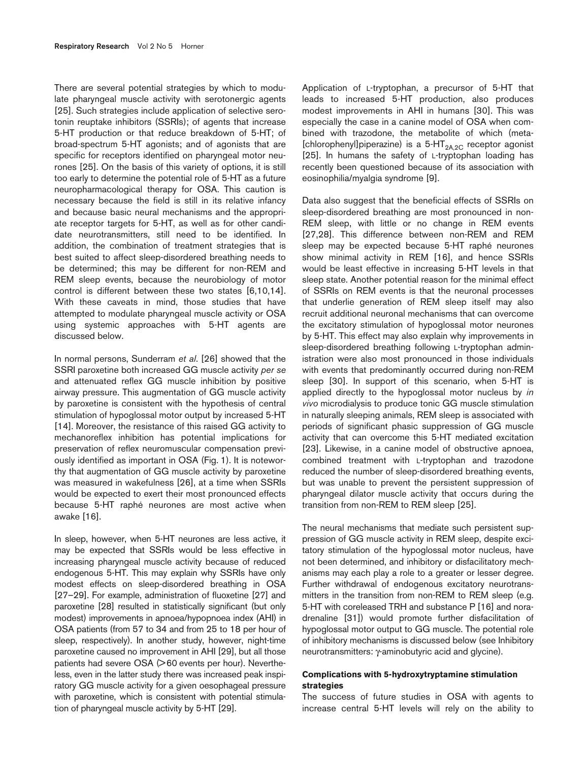There are several potential strategies by which to modulate pharyngeal muscle activity with serotonergic agents [25]. Such strategies include application of selective serotonin reuptake inhibitors (SSRIs); of agents that increase 5-HT production or that reduce breakdown of 5-HT; of broad-spectrum 5-HT agonists; and of agonists that are specific for receptors identified on pharyngeal motor neurones [25]. On the basis of this variety of options, it is still too early to determine the potential role of 5-HT as a future neuropharmacological therapy for OSA. This caution is necessary because the field is still in its relative infancy and because basic neural mechanisms and the appropriate receptor targets for 5-HT, as well as for other candidate neurotransmitters, still need to be identified. In addition, the combination of treatment strategies that is best suited to affect sleep-disordered breathing needs to be determined; this may be different for non-REM and REM sleep events, because the neurobiology of motor control is different between these two states [6,10,14]. With these caveats in mind, those studies that have attempted to modulate pharyngeal muscle activity or OSA using systemic approaches with 5-HT agents are discussed below.

In normal persons, Sunderram *et al*. [26] showed that the SSRI paroxetine both increased GG muscle activity *per se* and attenuated reflex GG muscle inhibition by positive airway pressure. This augmentation of GG muscle activity by paroxetine is consistent with the hypothesis of central stimulation of hypoglossal motor output by increased 5-HT [14]. Moreover, the resistance of this raised GG activity to mechanoreflex inhibition has potential implications for preservation of reflex neuromuscular compensation previously identified as important in OSA (Fig. 1). It is noteworthy that augmentation of GG muscle activity by paroxetine was measured in wakefulness [26], at a time when SSRIs would be expected to exert their most pronounced effects because 5-HT raphé neurones are most active when awake [16].

In sleep, however, when 5-HT neurones are less active, it may be expected that SSRIs would be less effective in increasing pharyngeal muscle activity because of reduced endogenous 5-HT. This may explain why SSRIs have only modest effects on sleep-disordered breathing in OSA [27–29]. For example, administration of fluoxetine [27] and paroxetine [28] resulted in statistically significant (but only modest) improvements in apnoea/hypopnoea index (AHI) in OSA patients (from 57 to 34 and from 25 to 18 per hour of sleep, respectively). In another study, however, night-time paroxetine caused no improvement in AHI [29], but all those patients had severe OSA (>60 events per hour). Nevertheless, even in the latter study there was increased peak inspiratory GG muscle activity for a given oesophageal pressure with paroxetine, which is consistent with potential stimulation of pharyngeal muscle activity by 5-HT [29].

Application of L-tryptophan, a precursor of 5-HT that leads to increased 5-HT production, also produces modest improvements in AHI in humans [30]. This was especially the case in a canine model of OSA when combined with trazodone, the metabolite of which (meta- [chlorophenyl]piperazine) is a 5-HT<sub>2A,2C</sub> receptor agonist [25]. In humans the safety of L-tryptophan loading has recently been questioned because of its association with eosinophilia/myalgia syndrome [9].

Data also suggest that the beneficial effects of SSRIs on sleep-disordered breathing are most pronounced in non-REM sleep, with little or no change in REM events [27,28]. This difference between non-REM and REM sleep may be expected because 5-HT raphé neurones show minimal activity in REM [16], and hence SSRIs would be least effective in increasing 5-HT levels in that sleep state. Another potential reason for the minimal effect of SSRIs on REM events is that the neuronal processes that underlie generation of REM sleep itself may also recruit additional neuronal mechanisms that can overcome the excitatory stimulation of hypoglossal motor neurones by 5-HT. This effect may also explain why improvements in sleep-disordered breathing following L-tryptophan administration were also most pronounced in those individuals with events that predominantly occurred during non-REM sleep [30]. In support of this scenario, when 5-HT is applied directly to the hypoglossal motor nucleus by *in vivo* microdialysis to produce tonic GG muscle stimulation in naturally sleeping animals, REM sleep is associated with periods of significant phasic suppression of GG muscle activity that can overcome this 5-HT mediated excitation [23]. Likewise, in a canine model of obstructive apnoea, combined treatment with L-tryptophan and trazodone reduced the number of sleep-disordered breathing events, but was unable to prevent the persistent suppression of pharyngeal dilator muscle activity that occurs during the transition from non-REM to REM sleep [25].

The neural mechanisms that mediate such persistent suppression of GG muscle activity in REM sleep, despite excitatory stimulation of the hypoglossal motor nucleus, have not been determined, and inhibitory or disfacilitatory mechanisms may each play a role to a greater or lesser degree. Further withdrawal of endogenous excitatory neurotransmitters in the transition from non-REM to REM sleep (e.g. 5-HT with coreleased TRH and substance P [16] and noradrenaline [31]) would promote further disfacilitation of hypoglossal motor output to GG muscle. The potential role of inhibitory mechanisms is discussed below (see Inhibitory neurotransmitters: γ-aminobutyric acid and glycine).

#### **Complications with 5-hydroxytryptamine stimulation strategies**

The success of future studies in OSA with agents to increase central 5-HT levels will rely on the ability to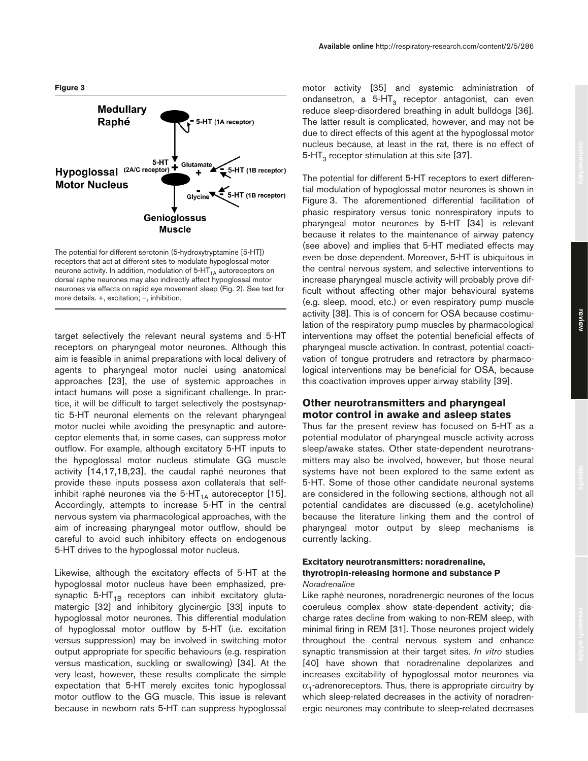

The potential for different serotonin (5-hydroxytryptamine [5-HT]) receptors that act at different sites to modulate hypoglossal motor neurone activity. In addition, modulation of  $5-HT<sub>1A</sub>$  autoreceptors on dorsal raphe neurones may also indirectly affect hypoglossal motor neurones via effects on rapid eye movement sleep (Fig. 2). See text for more details. +, excitation; –, inhibition.

target selectively the relevant neural systems and 5-HT receptors on pharyngeal motor neurones. Although this aim is feasible in animal preparations with local delivery of agents to pharyngeal motor nuclei using anatomical approaches [23], the use of systemic approaches in intact humans will pose a significant challenge. In practice, it will be difficult to target selectively the postsynaptic 5-HT neuronal elements on the relevant pharyngeal motor nuclei while avoiding the presynaptic and autoreceptor elements that, in some cases, can suppress motor outflow. For example, although excitatory 5-HT inputs to the hypoglossal motor nucleus stimulate GG muscle activity [14,17,18,23], the caudal raphé neurones that provide these inputs possess axon collaterals that selfinhibit raphé neurones via the 5-HT<sub>1A</sub> autoreceptor [15]. Accordingly, attempts to increase 5-HT in the central nervous system via pharmacological approaches, with the aim of increasing pharyngeal motor outflow, should be careful to avoid such inhibitory effects on endogenous 5-HT drives to the hypoglossal motor nucleus.

Likewise, although the excitatory effects of 5-HT at the hypoglossal motor nucleus have been emphasized, presynaptic 5-HT<sub>1B</sub> receptors can inhibit excitatory glutamatergic [32] and inhibitory glycinergic [33] inputs to hypoglossal motor neurones. This differential modulation of hypoglossal motor outflow by 5-HT (i.e. excitation versus suppression) may be involved in switching motor output appropriate for specific behaviours (e.g. respiration versus mastication, suckling or swallowing) [34]. At the very least, however, these results complicate the simple expectation that 5-HT merely excites tonic hypoglossal motor outflow to the GG muscle. This issue is relevant because in newborn rats 5-HT can suppress hypoglossal

motor activity [35] and systemic administration of ondansetron, a  $5-HT<sub>3</sub>$  receptor antagonist, can even reduce sleep-disordered breathing in adult bulldogs [36]. The latter result is complicated, however, and may not be due to direct effects of this agent at the hypoglossal motor nucleus because, at least in the rat, there is no effect of  $5-HT<sub>3</sub>$  receptor stimulation at this site [37].

The potential for different 5-HT receptors to exert differential modulation of hypoglossal motor neurones is shown in Figure 3. The aforementioned differential facilitation of phasic respiratory versus tonic nonrespiratory inputs to pharyngeal motor neurones by 5-HT [34] is relevant because it relates to the maintenance of airway patency (see above) and implies that 5-HT mediated effects may even be dose dependent. Moreover, 5-HT is ubiquitous in the central nervous system, and selective interventions to increase pharyngeal muscle activity will probably prove difficult without affecting other major behavioural systems (e.g. sleep, mood, etc.) or even respiratory pump muscle activity [38]. This is of concern for OSA because costimulation of the respiratory pump muscles by pharmacological interventions may offset the potential beneficial effects of pharyngeal muscle activation. In contrast, potential coactivation of tongue protruders and retractors by pharmacological interventions may be beneficial for OSA, because this coactivation improves upper airway stability [39].

## **Other neurotransmitters and pharyngeal motor control in awake and asleep states**

Thus far the present review has focused on 5-HT as a potential modulator of pharyngeal muscle activity across sleep/awake states. Other state-dependent neurotransmitters may also be involved, however, but those neural systems have not been explored to the same extent as 5-HT. Some of those other candidate neuronal systems are considered in the following sections, although not all potential candidates are discussed (e.g. acetylcholine) because the literature linking them and the control of pharyngeal motor output by sleep mechanisms is currently lacking.

#### **Excitatory neurotransmitters: noradrenaline, thyrotropin-releasing hormone and substance P** *Noradrenaline*

Like raphé neurones, noradrenergic neurones of the locus coeruleus complex show state-dependent activity; discharge rates decline from waking to non-REM sleep, with minimal firing in REM [31]. Those neurones project widely throughout the central nervous system and enhance synaptic transmission at their target sites. *In vitro* studies [40] have shown that noradrenaline depolarizes and increases excitability of hypoglossal motor neurones via  $\alpha_1$ -adrenoreceptors. Thus, there is appropriate circuitry by which sleep-related decreases in the activity of noradrenergic neurones may contribute to sleep-related decreases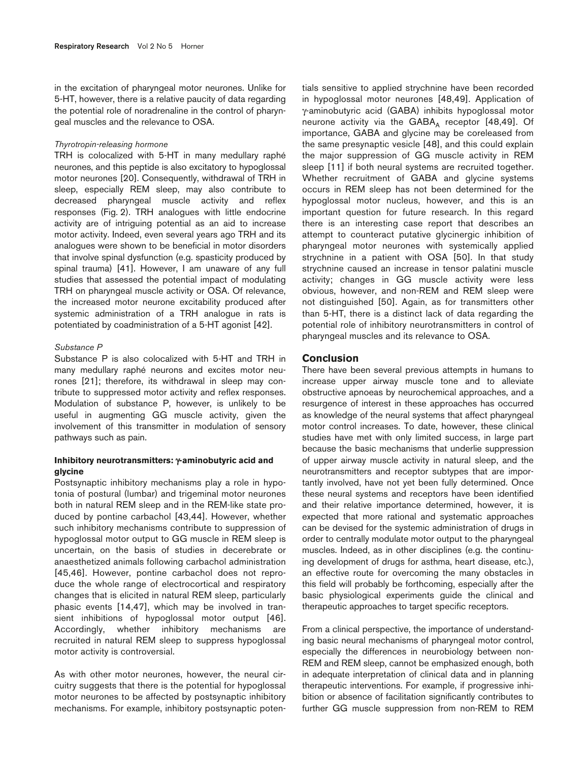in the excitation of pharyngeal motor neurones. Unlike for 5-HT, however, there is a relative paucity of data regarding the potential role of noradrenaline in the control of pharyngeal muscles and the relevance to OSA.

#### *Thyrotropin-releasing hormone*

TRH is colocalized with 5-HT in many medullary raphé neurones, and this peptide is also excitatory to hypoglossal motor neurones [20]. Consequently, withdrawal of TRH in sleep, especially REM sleep, may also contribute to decreased pharyngeal muscle activity and reflex responses (Fig. 2). TRH analogues with little endocrine activity are of intriguing potential as an aid to increase motor activity. Indeed, even several years ago TRH and its analogues were shown to be beneficial in motor disorders that involve spinal dysfunction (e.g. spasticity produced by spinal trauma) [41]. However, I am unaware of any full studies that assessed the potential impact of modulating TRH on pharyngeal muscle activity or OSA. Of relevance, the increased motor neurone excitability produced after systemic administration of a TRH analogue in rats is potentiated by coadministration of a 5-HT agonist [42].

#### *Substance P*

Substance P is also colocalized with 5-HT and TRH in many medullary raphé neurons and excites motor neurones [21]; therefore, its withdrawal in sleep may contribute to suppressed motor activity and reflex responses. Modulation of substance P, however, is unlikely to be useful in augmenting GG muscle activity, given the involvement of this transmitter in modulation of sensory pathways such as pain.

#### **Inhibitory neurotransmitters:** γ**-aminobutyric acid and glycine**

Postsynaptic inhibitory mechanisms play a role in hypotonia of postural (lumbar) and trigeminal motor neurones both in natural REM sleep and in the REM-like state produced by pontine carbachol [43,44]. However, whether such inhibitory mechanisms contribute to suppression of hypoglossal motor output to GG muscle in REM sleep is uncertain, on the basis of studies in decerebrate or anaesthetized animals following carbachol administration [45,46]. However, pontine carbachol does not reproduce the whole range of electrocortical and respiratory changes that is elicited in natural REM sleep, particularly phasic events [14,47], which may be involved in transient inhibitions of hypoglossal motor output [46]. Accordingly, whether inhibitory mechanisms are recruited in natural REM sleep to suppress hypoglossal motor activity is controversial.

As with other motor neurones, however, the neural circuitry suggests that there is the potential for hypoglossal motor neurones to be affected by postsynaptic inhibitory mechanisms. For example, inhibitory postsynaptic potentials sensitive to applied strychnine have been recorded in hypoglossal motor neurones [48,49]. Application of γ-aminobutyric acid (GABA) inhibits hypoglossal motor neurone activity via the  $GABA_A$  receptor  $[48,49]$ . Of importance, GABA and glycine may be coreleased from the same presynaptic vesicle [48], and this could explain the major suppression of GG muscle activity in REM sleep [11] if both neural systems are recruited together. Whether recruitment of GABA and glycine systems occurs in REM sleep has not been determined for the hypoglossal motor nucleus, however, and this is an important question for future research. In this regard there is an interesting case report that describes an attempt to counteract putative glycinergic inhibition of pharyngeal motor neurones with systemically applied strychnine in a patient with OSA [50]. In that study strychnine caused an increase in tensor palatini muscle activity; changes in GG muscle activity were less obvious, however, and non-REM and REM sleep were not distinguished [50]. Again, as for transmitters other than 5-HT, there is a distinct lack of data regarding the potential role of inhibitory neurotransmitters in control of pharyngeal muscles and its relevance to OSA.

#### **Conclusion**

There have been several previous attempts in humans to increase upper airway muscle tone and to alleviate obstructive apnoeas by neurochemical approaches, and a resurgence of interest in these approaches has occurred as knowledge of the neural systems that affect pharyngeal motor control increases. To date, however, these clinical studies have met with only limited success, in large part because the basic mechanisms that underlie suppression of upper airway muscle activity in natural sleep, and the neurotransmitters and receptor subtypes that are importantly involved, have not yet been fully determined. Once these neural systems and receptors have been identified and their relative importance determined, however, it is expected that more rational and systematic approaches can be devised for the systemic administration of drugs in order to centrally modulate motor output to the pharyngeal muscles. Indeed, as in other disciplines (e.g. the continuing development of drugs for asthma, heart disease, etc.), an effective route for overcoming the many obstacles in this field will probably be forthcoming, especially after the basic physiological experiments guide the clinical and therapeutic approaches to target specific receptors.

From a clinical perspective, the importance of understanding basic neural mechanisms of pharyngeal motor control, especially the differences in neurobiology between non-REM and REM sleep, cannot be emphasized enough, both in adequate interpretation of clinical data and in planning therapeutic interventions. For example, if progressive inhibition or absence of facilitation significantly contributes to further GG muscle suppression from non-REM to REM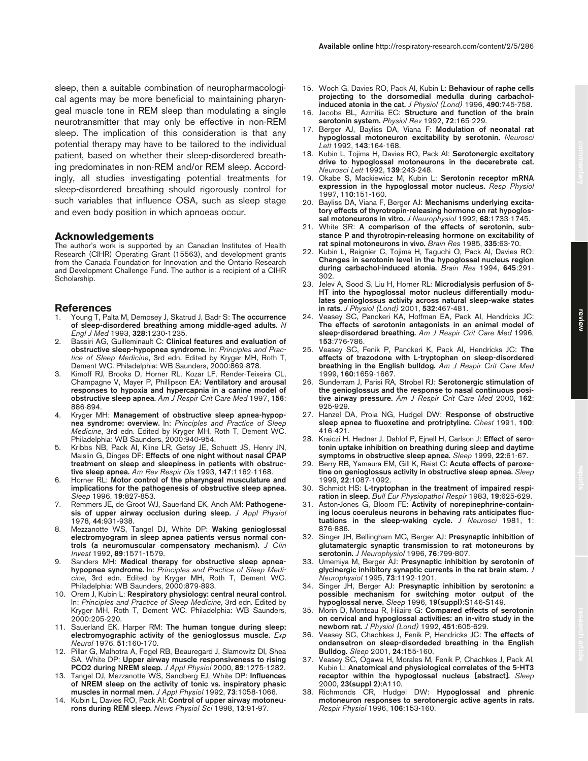sleep, then a suitable combination of neuropharmacological agents may be more beneficial to maintaining pharyngeal muscle tone in REM sleep than modulating a single neurotransmitter that may only be effective in non-REM sleep. The implication of this consideration is that any potential therapy may have to be tailored to the individual patient, based on whether their sleep-disordered breathing predominates in non-REM and/or REM sleep. Accordingly, all studies investigating potential treatments for sleep-disordered breathing should rigorously control for such variables that influence OSA, such as sleep stage and even body position in which apnoeas occur.

#### **Acknowledgements**

The author's work is supported by an Canadian Institutes of Health Research (CIHR) Operating Grant (15563), and development grants from the Canada Foundation for Innovation and the Ontario Research and Development Challenge Fund. The author is a recipient of a CIHR Scholarship.

## **References**

- 1. Young T, Palta M, Dempsey J, Skatrud J, Badr S: **The occurrence of sleep-disordered breathing among middle-aged adults.** *N Engl J Med* 1993, **328**:1230-1235.
- 2. Bassiri AG, Guilleminault C: **Clinical features and evaluation of obstructive sleep-hypopnea syndrome.** In: *Principles and Practice of Sleep Medicine*, 3rd edn. Edited by Kryger MH, Roth T, Dement WC. Philadelphia: WB Saunders, 2000:869-878.
- 3. Kimoff RJ, Brooks D, Horner RL, Kozar LF, Render-Teixeira CL, Champagne V, Mayer P, Phillipson EA: **Ventilatory and arousal responses to hypoxia and hypercapnia in a canine model of obstructive sleep apnea.** *Am J Respir Crit Care Med* 1997, **156**: 886-894.
- Kryger MH: Management of obstructive sleep apnea-hypop**nea syndrome: overview.** In: *Principles and Practice of Sleep Medicine*, 3rd edn. Edited by Kryger MH, Roth T, Dement WC. Philadelphia: WB Saunders, 2000:940-954.
- 5. Kribbs NB, Pack AI, Kline LR, Getsy JE, Schuett JS, Henry JN, Maislin G, Dinges DF: **Effects of one night without nasal CPAP treatment on sleep and sleepiness in patients with obstructive sleep apnea.** *Am Rev Respir Dis* 1993, **147**:1162-1168.
- 6. Horner RL: **Motor control of the pharyngeal musculature and implications for the pathogenesis of obstructive sleep apnea.** *Sleep* 1996, **19**:827-853.
- 7. Remmers JE, de Groot WJ, Sauerland EK, Anch AM: **Pathogenesis of upper airway occlusion during sleep.** *J Appl Physiol* 1978, **44**:931-938.
- 8. Mezzanotte WS, Tangel DJ, White DP: **Waking genioglossal electromyogram in sleep apnea patients versus normal controls (a neuromuscular compensatory mechanism).** *J Clin Invest* 1992, **89**:1571-1579.
- Sanders MH: Medical therapy for obstructive sleep apnea**hypopnea syndrome.** In: *Principles and Practice of Sleep Medicine*, 3rd edn. Edited by Kryger MH, Roth T, Dement WC. Philadelphia: WB Saunders, 2000:879-893.
- 10. Orem J, Kubin L: **Respiratory physiology: central neural control.** In: *Principles and Practice of Sleep Medicine*, 3rd edn. Edited by Kryger MH, Roth T, Dement WC. Philadelphia: WB Saunders, 2000:205-220.
- 11. Sauerland EK, Harper RM: **The human tongue during sleep: electromyographic activity of the genioglossus muscle.** *Exp Neurol* 1976, **51**:160-170.
- 12. Pillar G, Malhotra A, Fogel RB, Beauregard J, Slamowitz DI, Shea SA, White DP: **Upper airway muscle responsiveness to rising PCO2 during NREM sleep.** *J Appl Physiol* 2000, **89**:1275-1282.
- 13. Tangel DJ, Mezzanotte WS, Sandberg EJ, White DP: **Influences of NREM sleep on the activity of tonic vs. inspiratory phasic muscles in normal men.** *J Appl Physiol* 1992, **73**:1058-1066.
- 14. Kubin L, Davies RO, Pack AI: **Control of upper airway motoneurons during REM sleep.** *News Physiol Sci* 1998, **13**:91-97.
- 15. Woch G, Davies RO, Pack AI, Kubin L: **Behaviour of raphe cells projecting to the dorsomedial medulla during carbacholinduced atonia in the cat.** *J Physiol (Lond)* 1996, **490**:745-758.
- 16. Jacobs BL, Azmitia EC: **Structure and function of the brain serotonin system.** *Physiol Rev* 1992, **72**:165-229.
- 17. Berger AJ, Bayliss DA, Viana F: **Modulation of neonatal rat hypoglossal motoneuron excitability by serotonin.** *Neurosci Lett* 1992, **143**:164-168.
- 18. Kubin L, Tojima H, Davies RO, Pack AI: **Serotonergic excitatory drive to hypoglossal motoneurons in the decerebrate cat.** *Neurosci Lett* 1992, **139**:243-248.
- 19. Okabe S, Mackiewicz M, Kubin L: **Serotonin receptor mRNA expression in the hypoglossal motor nucleus.** *Resp Physiol* 1997, **110**:151-160.
- 20. Bayliss DA, Viana F, Berger AJ: **Mechanisms underlying excitatory effects of thyrotropin-releasing hormone on rat hypoglossal motoneurons in vitro.** *J Neurophysiol* 1992, **68**:1733-1745.
- 21. White SR: **A comparison of the effects of serotonin, substance P and thyrotropin-releasing hormone on excitability of rat spinal motoneurons in vivo.** *Brain Res* 1985, **335**:63-70.
- 22. Kubin L, Reignier C, Tojima H, Taguchi O, Pack AI, Davies RO: **Changes in serotonin level in the hypoglossal nucleus region during carbachol-induced atonia.** *Brain Res* 1994, **645**:291- 302.
- 23. Jelev A, Sood S, Liu H, Horner RL: **Microdialysis perfusion of 5- HT into the hypoglossal motor nucleus differentially modulates genioglossus activity across natural sleep-wake states in rats.** *J Physiol (Lond)* 2001, **532**:467-481.
- 24. Veasey SC, Panckeri KA, Hoffman EA, Pack AI, Hendricks JC: **The effects of serotonin antagonists in an animal model of sleep-disordered breathing.** *Am J Respir Crit Care Med* 1996, **153**:776-786.
- 25. Veasey SC, Fenik P, Panckeri K, Pack AI, Hendricks JC: **The effects of trazodone with L-tryptophan on sleep-disordered breathing in the English bulldog.** *Am J Respir Crit Care Med* 1999, **160**:1659-1667.
- 26. Sunderram J, Parisi RA, Strobel RJ: **Serotonergic stimulation of the genioglossus and the response to nasal continuous positive airway pressure.** *Am J Respir Crit Care Med* 2000, **162**: 925-929.
- 27. Hanzel DA, Proia NG, Hudgel DW: **Response of obstructive sleep apnea to fluoxetine and protriptyline.** *Chest* 1991, **100**: 416-421.
- 28. Kraiczi H, Hedner J, Dahlof P, Ejnell H, Carlson J: **Effect of serotonin uptake inhibition on breathing during sleep and daytime symptoms in obstructive sleep apnea.** *Sleep* 1999, **22**:61-67.
- 29. Berry RB, Yamaura EM, Gill K, Reist C: **Acute effects of paroxetine on genioglossus activity in obstructive sleep apnea.** *Sleep* 1999, **22**:1087-1092.
- 30. Schmidt HS: **L-tryptophan in the treatment of impaired respiration in sleep.** *Bull Eur Physiopathol Respir* 1983, **19**:625-629.
- 31. Aston-Jones G, Bloom FE: **Activity of norepinephrine-containing locus coeruleus neurons in behaving rats anticipates fluctuations in the sleep-waking cycle.** *J Neurosci* 1981, **1**: 876-886.
- 32. Singer JH, Bellingham MC, Berger AJ: **Presynaptic inhibition of glutamatergic synaptic transmission to rat motoneurons by serotonin.** *J Neurophysiol* 1996, **76**:799-807.
- 33. Umemiya M, Berger AJ: **Presynaptic inhibition by serotonin of glycinergic inhibitory synaptic currents in the rat brain stem.** *J Neurophysiol* 1995, **73**:1192-1201.
- 34. Singer JH, Berger AJ: **Presynaptic inhibition by serotonin: a possible mechanism for switching motor output of the hypoglossal nerve.** *Sleep* 1996, **19(suppl)**:S146-S149.
- 35. Morin D, Monteau R, Hilaire G: **Compared effects of serotonin on cervical and hypoglossal activities: an in-vitro study in the newborn rat.** *J Physiol (Lond)* 1992, **451**:605-629.
- 36. Veasey SC, Chachkes J, Fenik P, Hendricks JC: **The effects of ondansetron on sleep-disordeded breathing in the English Bulldog.** *Sleep* 2001, **24**:155-160.
- 37. Veasey SC, Ogawa H, Morales M, Fenik P, Chachkes J, Pack AI, Kubin L: **Anatomical and physiological correlates of the 5-HT3 receptor within the hypoglossal nucleus [abstract].** *Sleep* 2000, **23(suppl 2)**:A110.
- 38. Richmonds CR, Hudgel DW: **Hypoglossal and phrenic motoneuron responses to serotonergic active agents in rats.** *Respir Physiol* 1996, **106**:153-160.

**review**